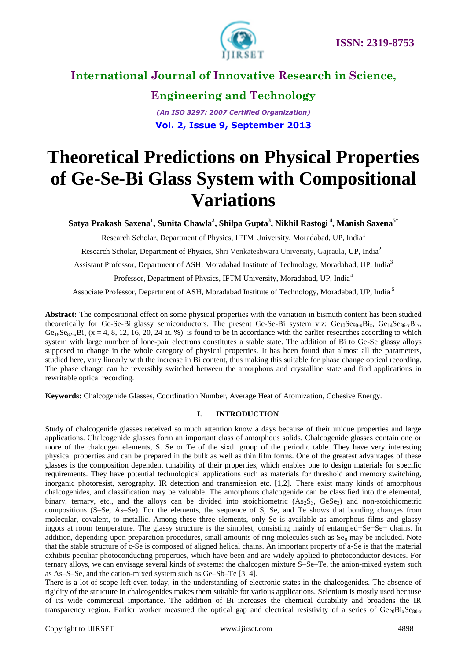

**Engineering and Technology** *(An ISO 3297: 2007 Certified Organization)* **Vol. 2, Issue 9, September 2013**

# **Theoretical Predictions on Physical Properties of Ge-Se-Bi Glass System with Compositional Variations**

**Satya Prakash Saxena<sup>1</sup> , Sunita Chawla<sup>2</sup> , Shilpa Gupta<sup>3</sup> , Nikhil Rastogi <sup>4</sup> , Manish Saxena5\***

Research Scholar, Department of Physics, IFTM University, Moradabad, UP, India<sup>1</sup>

Research Scholar, Department of Physics, Shri Venkateshwara University, Gajraula, UP, India<sup>2</sup>

Assistant Professor, Department of ASH, Moradabad Institute of Technology, Moradabad, UP, India<sup>3</sup>

Professor, Department of Physics, IFTM University, Moradabad, UP, India<sup>4</sup>

Associate Professor, Department of ASH, Moradabad Institute of Technology, Moradabad, UP, India <sup>5</sup>

**Abstract:** The compositional effect on some physical properties with the variation in bismuth content has been studied theoretically for Ge-Se-Bi glassy semiconductors. The present Ge-Se-Bi system viz:  $Ge_{10}Se_{90-x}Bi_x$ ,  $Ge_{14}Se_{86-x}Bi_x$ ,  $Ge_{18}Se_{82x}Bi_x$  (x = 4, 8, 12, 16, 20, 24 at. %) is found to be in accordance with the earlier researches according to which system with large number of lone-pair electrons constitutes a stable state. The addition of Bi to Ge-Se glassy alloys supposed to change in the whole category of physical properties. It has been found that almost all the parameters, studied here, vary linearly with the increase in Bi content, thus making this suitable for phase change optical recording. The phase change can be reversibly switched between the amorphous and crystalline state and find applications in rewritable optical recording.

**Keywords:** Chalcogenide Glasses, Coordination Number, Average Heat of Atomization, Cohesive Energy.

#### **I. INTRODUCTION**

Study of chalcogenide glasses received so much attention know a days because of their unique properties and large applications. Chalcogenide glasses form an important class of amorphous solids. Chalcogenide glasses contain one or more of the chalcogen elements, S. Se or Te of the sixth group of the periodic table. They have very interesting physical properties and can be prepared in the bulk as well as thin film forms. One of the greatest advantages of these glasses is the composition dependent tunability of their properties, which enables one to design materials for specific requirements. They have potential technological applications such as materials for threshold and memory switching, inorganic photoresist, xerography, IR detection and transmission etc. [1,2]. There exist many kinds of amorphous chalcogenides, and classification may be valuable. The amorphous chalcogenide can be classified into the elemental, binary, ternary, etc., and the alloys can be divided into stoichiometric  $(As_2S_3, Ges_2)$  and non-stoichiometric compositions (S–Se, As–Se). For the elements, the sequence of S, Se, and Te shows that bonding changes from molecular, covalent, to metallic. Among these three elements, only Se is available as amorphous films and glassy ingots at room temperature. The glassy structure is the simplest, consisting mainly of entangled−Se−Se− chains. In addition, depending upon preparation procedures, small amounts of ring molecules such as  $S_{\epsilon_8}$  may be included. Note that the stable structure of c-Se is composed of aligned helical chains. An important property of a-Se is that the material exhibits peculiar photoconducting properties, which have been and are widely applied to photoconductor devices. For ternary alloys, we can envisage several kinds of systems: the chalcogen mixture S–Se–Te, the anion-mixed system such as As–S–Se, and the cation-mixed system such as Ge–Sb–Te [3, 4].

There is a lot of scope left even today, in the understanding of electronic states in the chalcogenides. The absence of rigidity of the structure in chalcogenides makes them suitable for various applications. Selenium is mostly used because of its wide commercial importance. The addition of Bi increases the chemical durability and broadens the IR transparency region. Earlier worker measured the optical gap and electrical resistivity of a series of  $Ge_{20}Bi_xSe_{80-x}$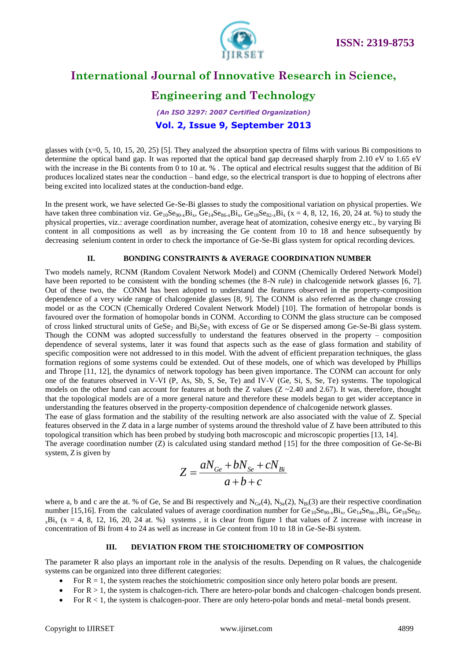

# **Engineering and Technology**

## *(An ISO 3297: 2007 Certified Organization)* **Vol. 2, Issue 9, September 2013**

glasses with (x=0, 5, 10, 15, 20, 25) [5]. They analyzed the absorption spectra of films with various Bi compositions to determine the optical band gap. It was reported that the optical band gap decreased sharply from 2.10 eV to 1.65 eV with the increase in the Bi contents from 0 to 10 at. %. The optical and electrical results suggest that the addition of Bi produces localized states near the conduction – band edge, so the electrical transport is due to hopping of electrons after being excited into localized states at the conduction-band edge.

In the present work, we have selected Ge-Se-Bi glasses to study the compositional variation on physical properties. We have taken three combination viz.  $Ge_{10}Se_{90-x}Bi_x$ ,  $Ge_{14}Se_{86-x}Bi_x$ ,  $Ge_{18}Se_{82-x}Bi_x$  (x = 4, 8, 12, 16, 20, 24 at. %) to study the physical properties, viz.: average coordination number, average heat of atomization, cohesive energy etc., by varying Bi content in all compositions as well as by increasing the Ge content from 10 to 18 and hence subsequently by decreasing selenium content in order to check the importance of Ge-Se-Bi glass system for optical recording devices.

#### **II. BONDING CONSTRAINTS & AVERAGE COORDINATION NUMBER**

Two models namely, RCNM (Random Covalent Network Model) and CONM (Chemically Ordered Network Model) have been reported to be consistent with the bonding schemes (the 8-N rule) in chalcogenide network glasses [6, 7]. Out of these two, the CONM has been adopted to understand the features observed in the property-composition dependence of a very wide range of chalcogenide glasses [8, 9]. The CONM is also referred as the change crossing model or as the COCN (Chemically Ordered Covalent Network Model) [10]. The formation of hetropolar bonds is favoured over the formation of homopolar bonds in CONM. According to CONM the glass structure can be composed of cross linked structural units of GeSe<sub>2</sub> and Bi<sub>2</sub>Se<sub>3</sub> with excess of Ge or Se dispersed among Ge-Se-Bi glass system. Though the CONM was adopted successfully to understand the features observed in the property – composition dependence of several systems, later it was found that aspects such as the ease of glass formation and stability of specific composition were not addressed to in this model. With the advent of efficient preparation techniques, the glass formation regions of some systems could be extended. Out of these models, one of which was developed by Phillips and Thrope [11, 12], the dynamics of network topology has been given importance. The CONM can account for only one of the features observed in V-VI (P, As, Sb, S, Se, Te) and IV-V (Ge, Si, S, Se, Te) systems. The topological models on the other hand can account for features at both the Z values ( $Z \sim 2.40$  and 2.67). It was, therefore, thought that the topological models are of a more general nature and therefore these models began to get wider acceptance in understanding the features observed in the property-composition dependence of chalcogenide network glasses.

The ease of glass formation and the stability of the resulting network are also associated with the value of Z. Special features observed in the Z data in a large number of systems around the threshold value of Z have been attributed to this topological transition which has been probed by studying both macroscopic and microscopic properties [13, 14].

The average coordination number (Z) is calculated using standard method [15] for the three composition of Ge-Se-Bi system, Z is given by

$$
Z = \frac{aN_{Ge} + bN_{Se} + cN_{Bi}}{a+b+c}
$$

where a, b and c are the at. % of Ge, Se and Bi respectively and  $N_{Ge}(4)$ ,  $N_{Se}(2)$ ,  $N_{Bi}(3)$  are their respective coordination number [15,16]. From the calculated values of average coordination number for Ge<sub>10</sub>Se<sub>90-x</sub>Bi<sub>x</sub>, Ge<sub>14</sub>Se<sub>86-x</sub>Bi<sub>x</sub>, Ge<sub>18</sub>Se<sub>82-</sub>  $_{x}$ Bi<sub>x</sub> (x = 4, 8, 12, 16, 20, 24 at. %) systems, it is clear from figure 1 that values of Z increase with increase in concentration of Bi from 4 to 24 as well as increase in Ge content from 10 to 18 in Ge-Se-Bi system.

#### **III. DEVIATION FROM THE STOICHIOMETRY OF COMPOSITION**

The parameter R also plays an important role in the analysis of the results. Depending on R values, the chalcogenide systems can be organized into three different categories:

- For  $R = 1$ , the system reaches the stoichiometric composition since only hetero polar bonds are present.
- For  $R > 1$ , the system is chalcogen-rich. There are hetero-polar bonds and chalcogen–chalcogen bonds present.
- For  $R < 1$ , the system is chalcogen-poor. There are only hetero-polar bonds and metal-metal bonds present.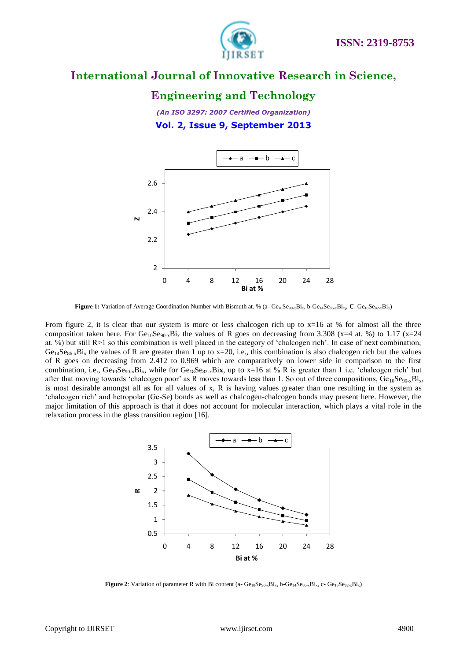

## **Engineering and Technology**

*(An ISO 3297: 2007 Certified Organization)* **Vol. 2, Issue 9, September 2013**



Figure 1: Variation of Average Coordination Number with Bismuth at. % (a- Ge<sub>10</sub>Se<sub>90-x</sub>Bi<sub>x</sub>, b-Ge<sub>14</sub>Se<sub>86-x</sub>Bi<sub>x</sub>, C- Ge<sub>18</sub>Se<sub>82-x</sub>Bi<sub>x</sub>)

From figure 2, it is clear that our system is more or less chalcogen rich up to  $x=16$  at % for almost all the three composition taken here. For  $Ge_{10}Se_{90-x}Bi_x$  the values of R goes on decreasing from 3.308 (x=4 at. %) to 1.17 (x=24 at.  $\%$ ) but still R>1 so this combination is well placed in the category of 'chalcogen rich'. In case of next combination,  $Ge_{14}Se_{86-x}Bi_x$  the values of R are greater than 1 up to x=20, i.e., this combination is also chalcogen rich but the values of R goes on decreasing from 2.412 to 0.969 which are comparatively on lower side in comparison to the first combination, i.e.,  $Ge_{10}Se_{90x}Bi_x$ , while for  $Ge_{18}Se_{82x}Bi\bf{x}$ , up to  $x=16$  at % R is greater than 1 i.e. 'chalcogen rich' but after that moving towards 'chalcogen poor' as R moves towards less than 1. So out of three compositions,  $Ge_{10}Se_{90-x}Bi_x$ , is most desirable amongst all as for all values of x, R is having values greater than one resulting in the system as "chalcogen rich" and hetropolar (Ge-Se) bonds as well as chalcogen-chalcogen bonds may present here. However, the major limitation of this approach is that it does not account for molecular interaction, which plays a vital role in the relaxation process in the glass transition region [16].



**Figure 2**: Variation of parameter R with Bi content (a- $Ge_{10}Se_{90-x}Bi_x$ , b- $Ge_{14}Se_{86-x}Bi_x$ , c- $Ge_{18}Se_{82-x}Bi_x$ )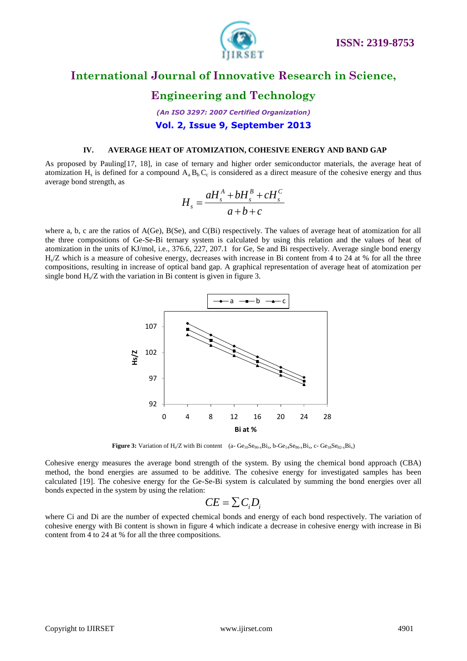

# **Engineering and Technology**

## *(An ISO 3297: 2007 Certified Organization)* **Vol. 2, Issue 9, September 2013**

#### **IV. AVERAGE HEAT OF ATOMIZATION, COHESIVE ENERGY AND BAND GAP**

As proposed by Pauling[17, 18], in case of ternary and higher order semiconductor materials, the average heat of atomization  $H_s$  is defined for a compound  $A_a B_b C_c$  is considered as a direct measure of the cohesive energy and thus average bond strength, as

$$
H_s = \frac{aH_s^A + bH_s^B + cH_s^C}{a+b+c}
$$

where a, b, c are the ratios of A(Ge), B(Se), and C(Bi) respectively. The values of average heat of atomization for all the three compositions of Ge-Se-Bi ternary system is calculated by using this relation and the values of heat of atomization in the units of KJ/mol, i.e., 376.6, 227, 207.1 for Ge, Se and Bi respectively. Average single bond energy Hs /Z which is a measure of cohesive energy, decreases with increase in Bi content from 4 to 24 at % for all the three compositions, resulting in increase of optical band gap. A graphical representation of average heat of atomization per single bond  $H_s/Z$  with the variation in Bi content is given in figure 3.



**Figure 3:** Variation of  $H_x/Z$  with Bi content (a-  $Ge_{10}Se_{90-x}Bi_x$ , b- $Ge_{14}Se_{86-x}Bi_x$ , c-  $Ge_{18}Se_{82-x}Bi_x$ )

Cohesive energy measures the average bond strength of the system. By using the chemical bond approach (CBA) method, the bond energies are assumed to be additive. The cohesive energy for investigated samples has been calculated [19]. The cohesive energy for the Ge-Se-Bi system is calculated by summing the bond energies over all bonds expected in the system by using the relation:

$$
CE = \sum C_i D_i
$$

where Ci and Di are the number of expected chemical bonds and energy of each bond respectively. The variation of cohesive energy with Bi content is shown in figure 4 which indicate a decrease in cohesive energy with increase in Bi content from 4 to 24 at % for all the three compositions.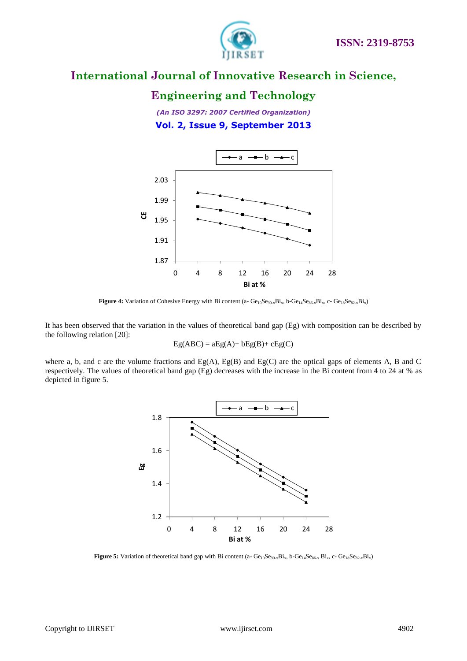

## **Engineering and Technology**

*(An ISO 3297: 2007 Certified Organization)* **Vol. 2, Issue 9, September 2013**



Figure 4: Variation of Cohesive Energy with Bi content (a- Ge<sub>10</sub>Se<sub>90-x</sub>Bi<sub>x</sub>, b-Ge<sub>14</sub>Se<sub>86-x</sub>Bi<sub>x</sub>, c- Ge<sub>18</sub>Se<sub>82-x</sub>Bi<sub>x</sub>)

It has been observed that the variation in the values of theoretical band gap (Eg) with composition can be described by the following relation [20]:

$$
Eg(ABC) = aEg(A) + bEg(B) + cEg(C)
$$

where a, b, and c are the volume fractions and Eg(A), Eg(B) and Eg(C) are the optical gaps of elements A, B and C respectively. The values of theoretical band gap (Eg) decreases with the increase in the Bi content from 4 to 24 at % as depicted in figure 5.



Figure 5: Variation of theoretical band gap with Bi content (a- Ge<sub>10</sub>Se<sub>90-x</sub>Bi<sub>x</sub>, b-Ge<sub>14</sub>Se<sub>86-x</sub> Bi<sub>x</sub>, c- Ge<sub>18</sub>Se<sub>82-x</sub>Bi<sub>x</sub>)